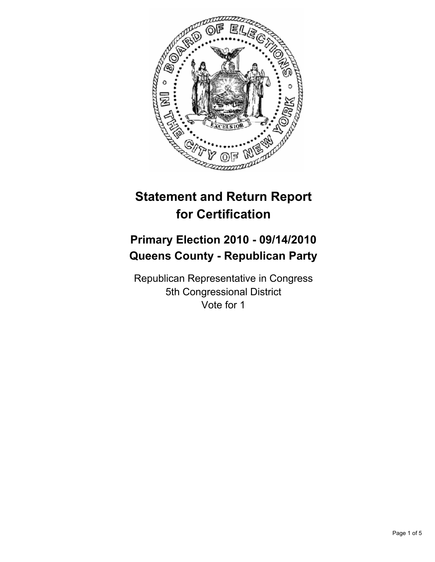

# **Statement and Return Report for Certification**

## **Primary Election 2010 - 09/14/2010 Queens County - Republican Party**

Republican Representative in Congress 5th Congressional District Vote for 1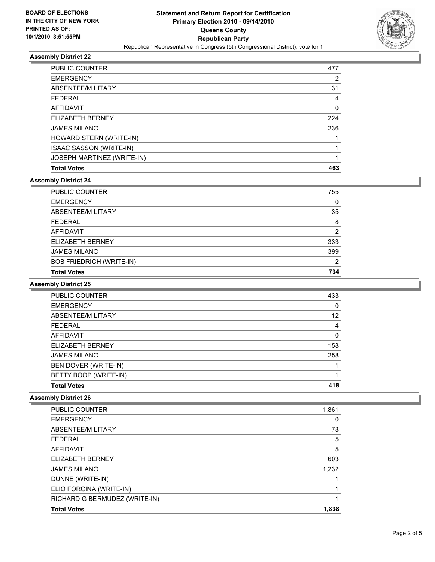

### **Assembly District 22**

| <b>PUBLIC COUNTER</b>          | 477 |
|--------------------------------|-----|
| <b>EMERGENCY</b>               | 2   |
| ABSENTEE/MILITARY              | 31  |
| <b>FEDERAL</b>                 | 4   |
| <b>AFFIDAVIT</b>               | 0   |
| ELIZABETH BERNEY               | 224 |
| <b>JAMES MILANO</b>            | 236 |
| HOWARD STERN (WRITE-IN)        |     |
| <b>ISAAC SASSON (WRITE-IN)</b> |     |
| JOSEPH MARTINEZ (WRITE-IN)     |     |
| <b>Total Votes</b>             | 463 |

## **Assembly District 24**

| PUBLIC COUNTER                  | 755 |
|---------------------------------|-----|
| <b>EMERGENCY</b>                | 0   |
| ABSENTEE/MILITARY               | 35  |
| <b>FEDERAL</b>                  | 8   |
| <b>AFFIDAVIT</b>                | 2   |
| ELIZABETH BERNEY                | 333 |
| <b>JAMES MILANO</b>             | 399 |
| <b>BOB FRIEDRICH (WRITE-IN)</b> | 2   |
| <b>Total Votes</b>              | 734 |

#### **Assembly District 25**

| <b>PUBLIC COUNTER</b> | 433 |
|-----------------------|-----|
| <b>EMERGENCY</b>      | 0   |
| ABSENTEE/MILITARY     | 12  |
| <b>FEDERAL</b>        | 4   |
| <b>AFFIDAVIT</b>      | 0   |
| ELIZABETH BERNEY      | 158 |
| <b>JAMES MILANO</b>   | 258 |
| BEN DOVER (WRITE-IN)  |     |
| BETTY BOOP (WRITE-IN) |     |
| <b>Total Votes</b>    | 418 |

### **Assembly District 26**

| <b>Total Votes</b>            | 1,838 |
|-------------------------------|-------|
| RICHARD G BERMUDEZ (WRITE-IN) |       |
| ELIO FORCINA (WRITE-IN)       |       |
| DUNNE (WRITE-IN)              |       |
| <b>JAMES MILANO</b>           | 1,232 |
| ELIZABETH BERNEY              | 603   |
| <b>AFFIDAVIT</b>              | 5     |
| <b>FEDERAL</b>                | 5     |
| ABSENTEE/MILITARY             | 78    |
| <b>EMERGENCY</b>              | 0     |
| PUBLIC COUNTER                | 1,861 |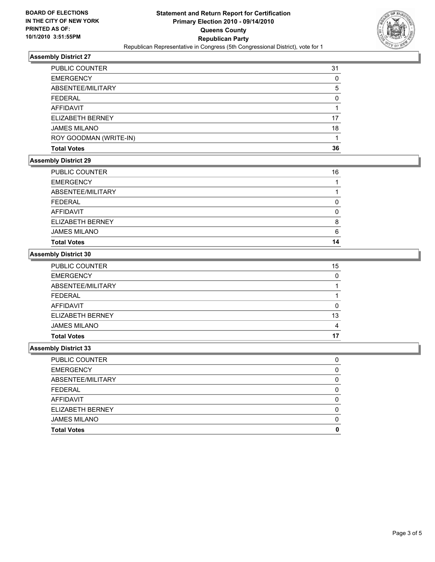

### **Assembly District 27**

| <b>PUBLIC COUNTER</b>  | 31       |
|------------------------|----------|
| <b>EMERGENCY</b>       | 0        |
| ABSENTEE/MILITARY      | 5        |
| <b>FEDERAL</b>         | $\Omega$ |
| AFFIDAVIT              |          |
| ELIZABETH BERNEY       | 17       |
| <b>JAMES MILANO</b>    | 18       |
| ROY GOODMAN (WRITE-IN) |          |
| <b>Total Votes</b>     | 36       |

## **Assembly District 29**

| <b>JAMES MILANO</b><br><b>Total Votes</b> | 6<br>14 |
|-------------------------------------------|---------|
| <b>ELIZABETH BERNEY</b>                   | 8       |
| <b>AFFIDAVIT</b>                          | 0       |
| <b>FEDERAL</b>                            |         |
| ABSENTEE/MILITARY                         |         |
| <b>EMERGENCY</b>                          |         |
| PUBLIC COUNTER                            | 16      |

#### **Assembly District 30**

| <b>Total Votes</b>  | 17 |
|---------------------|----|
| <b>JAMES MILANO</b> | 4  |
| ELIZABETH BERNEY    | 13 |
| <b>AFFIDAVIT</b>    | 0  |
| <b>FEDERAL</b>      |    |
| ABSENTEE/MILITARY   |    |
| <b>EMERGENCY</b>    | 0  |
| PUBLIC COUNTER      | 15 |

#### **Assembly District 33**

| <b>Total Votes</b>    | O        |
|-----------------------|----------|
| <b>JAMES MILANO</b>   | O        |
| ELIZABETH BERNEY      | O        |
| AFFIDAVIT             | O        |
| <b>FEDERAL</b>        | O        |
| ABSENTEE/MILITARY     |          |
| <b>EMERGENCY</b>      | $\Omega$ |
| <b>PUBLIC COUNTER</b> |          |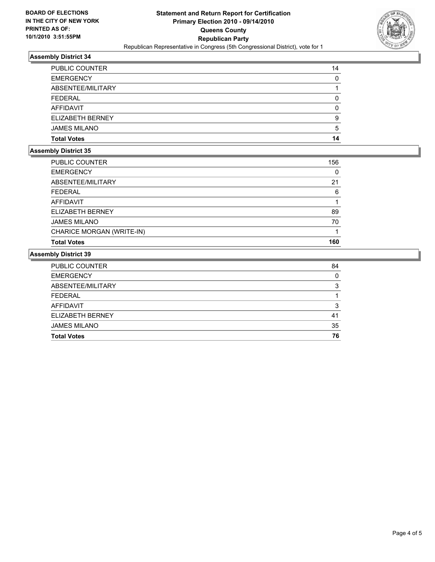

### **Assembly District 34**

| <b>PUBLIC COUNTER</b> | 14 |
|-----------------------|----|
| <b>EMERGENCY</b>      | 0  |
| ABSENTEE/MILITARY     |    |
| <b>FEDERAL</b>        | 0  |
| <b>AFFIDAVIT</b>      | 0  |
| ELIZABETH BERNEY      | 9  |
| <b>JAMES MILANO</b>   | 5  |
| <b>Total Votes</b>    | 14 |

## **Assembly District 35**

| <b>Total Votes</b>        | 160 |
|---------------------------|-----|
| CHARICE MORGAN (WRITE-IN) |     |
| <b>JAMES MILANO</b>       | 70  |
| ELIZABETH BERNEY          | 89  |
| AFFIDAVIT                 |     |
| <b>FEDERAL</b>            | 6   |
| ABSENTEE/MILITARY         | 21  |
| <b>EMERGENCY</b>          | 0   |
| <b>PUBLIC COUNTER</b>     | 156 |

## **Assembly District 39**

| <b>PUBLIC COUNTER</b> | 84 |
|-----------------------|----|
| <b>EMERGENCY</b>      |    |
| ABSENTEE/MILITARY     | າ  |
| <b>FEDERAL</b>        |    |
| AFFIDAVIT             | ິ  |
| ELIZABETH BERNEY      | 41 |
| <b>JAMES MILANO</b>   | 35 |
| <b>Total Votes</b>    | 76 |